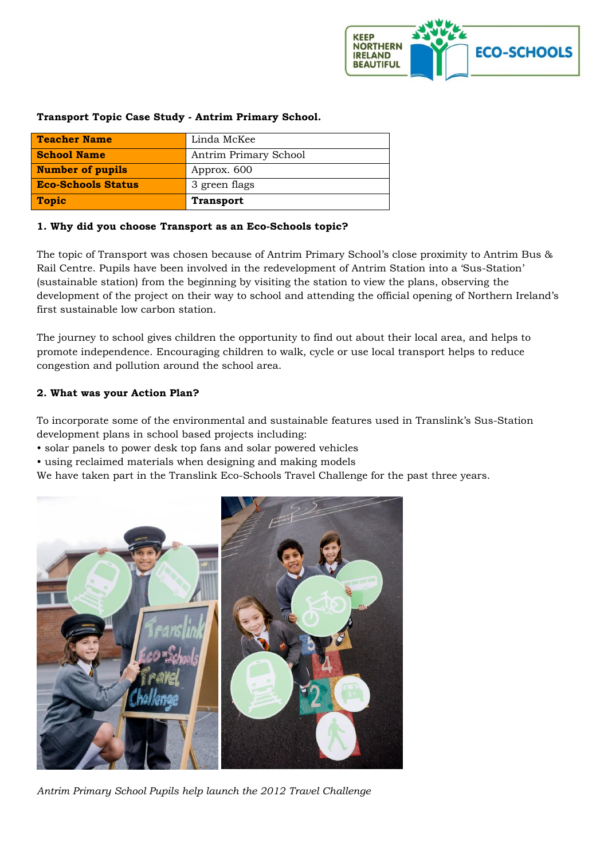

| <b>Teacher Name</b>       | Linda McKee           |
|---------------------------|-----------------------|
| <b>School Name</b>        | Antrim Primary School |
| <b>Number of pupils</b>   | Approx. 600           |
| <b>Eco-Schools Status</b> | 3 green flags         |
| <b>Topic</b>              | <b>Transport</b>      |

### **Transport Topic Case Study - Antrim Primary School.**

### **1. Why did you choose Transport as an Eco-Schools topic?**

The topic of Transport was chosen because of Antrim Primary School's close proximity to Antrim Bus & Rail Centre. Pupils have been involved in the redevelopment of Antrim Station into a 'Sus-Station' (sustainable station) from the beginning by visiting the station to view the plans, observing the development of the project on their way to school and attending the official opening of Northern Ireland's first sustainable low carbon station.

The journey to school gives children the opportunity to find out about their local area, and helps to promote independence. Encouraging children to walk, cycle or use local transport helps to reduce congestion and pollution around the school area.

### **2. What was your Action Plan?**

To incorporate some of the environmental and sustainable features used in Translink's Sus-Station development plans in school based projects including:

- solar panels to power desk top fans and solar powered vehicles
- using reclaimed materials when designing and making models

We have taken part in the Translink Eco-Schools Travel Challenge for the past three years.



*Antrim Primary School Pupils help launch the 2012 Travel Challenge*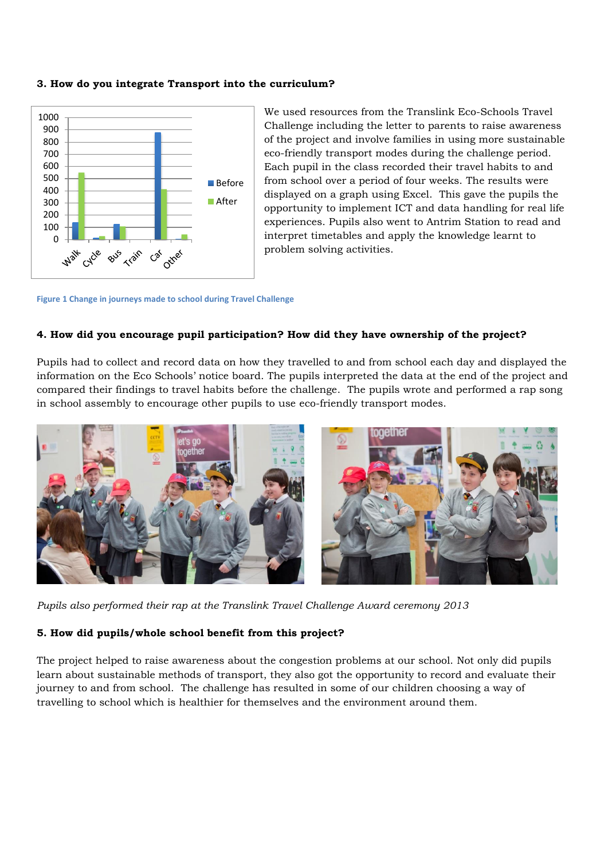#### **3. How do you integrate Transport into the curriculum?**



We used resources from the Translink Eco-Schools Travel Challenge including the letter to parents to raise awareness of the project and involve families in using more sustainable eco-friendly transport modes during the challenge period. Each pupil in the class recorded their travel habits to and from school over a period of four weeks. The results were displayed on a graph using Excel. This gave the pupils the opportunity to implement ICT and data handling for real life experiences. Pupils also went to Antrim Station to read and interpret timetables and apply the knowledge learnt to problem solving activities.

**Figure 1 Change in journeys made to school during Travel Challenge**

### **4. How did you encourage pupil participation? How did they have ownership of the project?**

Pupils had to collect and record data on how they travelled to and from school each day and displayed the information on the Eco Schools' notice board. The pupils interpreted the data at the end of the project and compared their findings to travel habits before the challenge. The pupils wrote and performed a rap song in school assembly to encourage other pupils to use eco-friendly transport modes.



*Pupils also performed their rap at the Translink Travel Challenge Award ceremony 2013*

#### **5. How did pupils/whole school benefit from this project?**

The project helped to raise awareness about the congestion problems at our school. Not only did pupils learn about sustainable methods of transport, they also got the opportunity to record and evaluate their journey to and from school. The *c*hallenge has resulted in some of our children choosing a way of travelling to school which is healthier for themselves and the environment around them.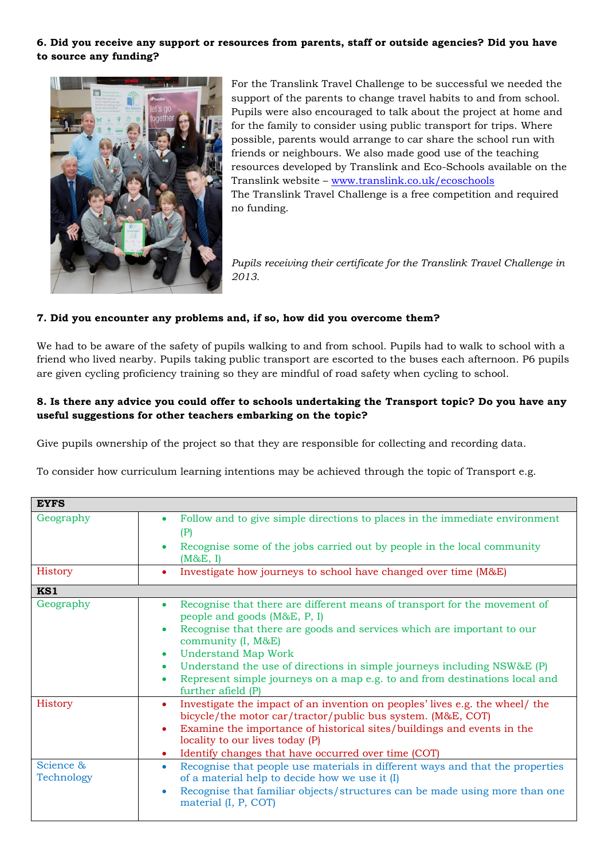## **6. Did you receive any support or resources from parents, staff or outside agencies? Did you have to source any funding?**



For the Translink Travel Challenge to be successful we needed the support of the parents to change travel habits to and from school. Pupils were also encouraged to talk about the project at home and for the family to consider using public transport for trips. Where possible, parents would arrange to car share the school run with friends or neighbours. We also made good use of the teaching resources developed by Translink and Eco-Schools available on the Translink website – [www.translink.co.uk/ecoschools](http://www.translink.co.uk/ecoschools) The Translink Travel Challenge is a free competition and required no funding.

*Pupils receiving their certificate for the Translink Travel Challenge in 2013.* 

### **7. Did you encounter any problems and, if so, how did you overcome them?**

We had to be aware of the safety of pupils walking to and from school. Pupils had to walk to school with a friend who lived nearby. Pupils taking public transport are escorted to the buses each afternoon. P6 pupils are given cycling proficiency training so they are mindful of road safety when cycling to school.

## **8. Is there any advice you could offer to schools undertaking the Transport topic? Do you have any useful suggestions for other teachers embarking on the topic?**

Give pupils ownership of the project so that they are responsible for collecting and recording data.

To consider how curriculum learning intentions may be achieved through the topic of Transport e.g.

| <b>EYFS</b>             |                                                                                                                                                                                                                                                                                                                                                                                                                                                                           |
|-------------------------|---------------------------------------------------------------------------------------------------------------------------------------------------------------------------------------------------------------------------------------------------------------------------------------------------------------------------------------------------------------------------------------------------------------------------------------------------------------------------|
| Geography               | Follow and to give simple directions to places in the immediate environment<br>$\bullet$<br>(P)<br>Recognise some of the jobs carried out by people in the local community<br>(M&E, I)                                                                                                                                                                                                                                                                                    |
| History                 | Investigate how journeys to school have changed over time (M&E)<br>٠                                                                                                                                                                                                                                                                                                                                                                                                      |
| KS1                     |                                                                                                                                                                                                                                                                                                                                                                                                                                                                           |
| Geography               | Recognise that there are different means of transport for the movement of<br>۰<br>people and goods (M&E, P, I)<br>Recognise that there are goods and services which are important to our<br>٠<br>community (I, M&E)<br><b>Understand Map Work</b><br>$\bullet$<br>Understand the use of directions in simple journeys including NSW&E (P)<br>$\bullet$<br>Represent simple journeys on a map e.g. to and from destinations local and<br>$\bullet$<br>further afield $(P)$ |
| History                 | Investigate the impact of an invention on peoples' lives e.g. the wheel/ the<br>$\bullet$<br>bicycle/the motor car/tractor/public bus system. (M&E, COT)<br>Examine the importance of historical sites/buildings and events in the<br>٠<br>locality to our lives today (P)<br>Identify changes that have occurred over time (COT)<br>۰                                                                                                                                    |
| Science &<br>Technology | Recognise that people use materials in different ways and that the properties<br>۰<br>of a material help to decide how we use it (I)<br>Recognise that familiar objects/structures can be made using more than one<br>$\bullet$<br>material (I, P, COT)                                                                                                                                                                                                                   |